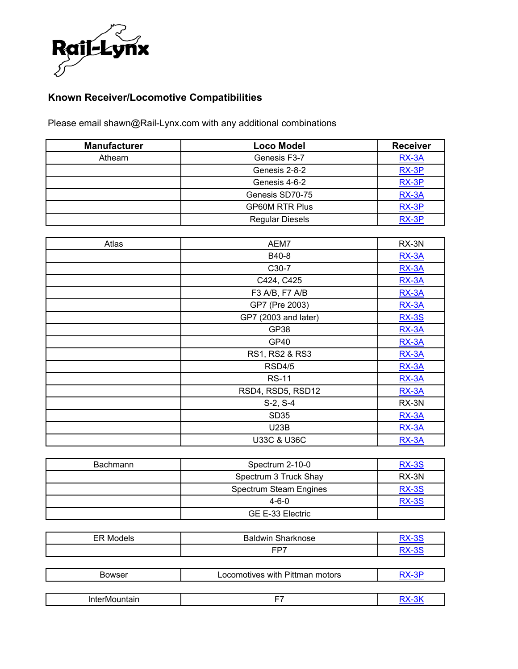

## **Known Receiver/Locomotive Compatibilities**

Please email shawn@Rail-Lynx.com with any additional combinations

| <b>Manufacturer</b> | <b>Loco Model</b>      | <b>Receiver</b> |
|---------------------|------------------------|-----------------|
| Athearn             | Genesis F3-7           | RX-3A           |
|                     | Genesis 2-8-2          | $RX-3P$         |
|                     | Genesis 4-6-2          | RX-3P           |
|                     | Genesis SD70-75        | RX-3A           |
|                     | <b>GP60M RTR Plus</b>  | RX-3P           |
|                     | <b>Regular Diesels</b> | RX-3P           |

| Atlas | AEM7                   | RX-3N        |
|-------|------------------------|--------------|
|       | B40-8                  | $RX-3A$      |
|       | C30-7                  | $RX-3A$      |
|       | C424, C425             | RX-3A        |
|       | F3 A/B, F7 A/B         | $RX-3A$      |
|       | GP7 (Pre 2003)         | RX-3A        |
|       | GP7 (2003 and later)   | <b>RX-3S</b> |
|       | GP38                   | RX-3A        |
|       | GP40                   | $RX-3A$      |
|       | RS1, RS2 & RS3         | RX-3A        |
|       | RSD4/5                 | RX-3A        |
|       | <b>RS-11</b>           | RX-3A        |
|       | RSD4, RSD5, RSD12      | $RX-3A$      |
|       | S-2, S-4               | RX-3N        |
|       | <b>SD35</b>            | $RX-3A$      |
|       | <b>U23B</b>            | RX-3A        |
|       | <b>U33C &amp; U36C</b> | RX-3A        |

| Bachmann | Spectrum 2-10-0        | <b>RX-3S</b> |
|----------|------------------------|--------------|
|          | Spectrum 3 Truck Shay  | RX-3N        |
|          | Spectrum Steam Engines | <b>RX-3S</b> |
|          | $4 - 6 - 0$            | <b>RX-3S</b> |
|          | GE E-33 Electric       |              |

| --<br>–⊷<br>neis<br>IVIC.<br>- | <b>OL</b><br>.<br><br>uose<br>idi N |  |
|--------------------------------|-------------------------------------|--|
|                                | <b>FD7</b>                          |  |

| Bowser               | Locomotives with Pittman motors | ∿∹ס |
|----------------------|---------------------------------|-----|
|                      |                                 |     |
| <b>InterMountain</b> |                                 |     |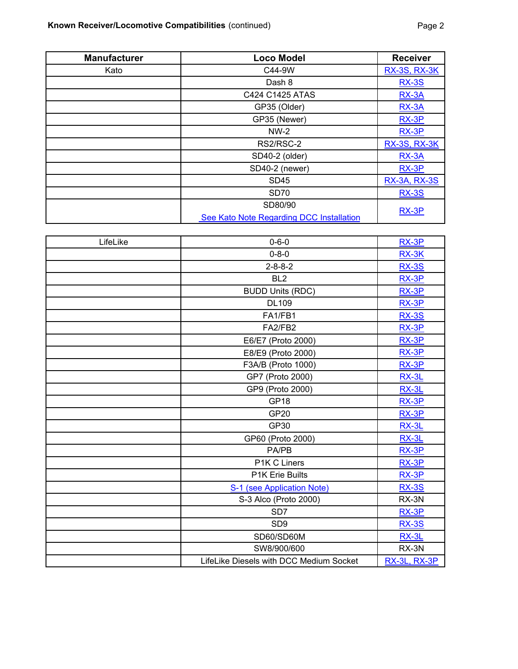| <b>Manufacturer</b> | <b>Loco Model</b>                        | <b>Receiver</b>     |
|---------------------|------------------------------------------|---------------------|
| Kato                | C44-9W                                   | <b>RX-3S, RX-3K</b> |
|                     | Dash 8                                   | <b>RX-3S</b>        |
|                     | C424 C1425 ATAS                          | RX-3A               |
|                     | GP35 (Older)                             | RX-3A               |
|                     | GP35 (Newer)                             | RX-3P               |
|                     | $NW-2$                                   | RX-3P               |
|                     | RS2/RSC-2                                | <b>RX-3S, RX-3K</b> |
|                     | SD40-2 (older)                           | RX-3A               |
|                     | SD40-2 (newer)                           | RX-3P               |
|                     | <b>SD45</b>                              | <b>RX-3A, RX-3S</b> |
|                     | <b>SD70</b>                              | <b>RX-3S</b>        |
|                     | SD80/90                                  | RX-3P               |
|                     | See Kato Note Regarding DCC Installation |                     |

| LifeLike | $0 - 6 - 0$                             | $RX-3P$      |
|----------|-----------------------------------------|--------------|
|          | $0 - 8 - 0$                             | RX-3K        |
|          | $2 - 8 - 8 - 2$                         | <b>RX-3S</b> |
|          | BL <sub>2</sub>                         | RX-3P        |
|          | <b>BUDD Units (RDC)</b>                 | RX-3P        |
|          | <b>DL109</b>                            | RX-3P        |
|          | FA1/FB1                                 | <b>RX-3S</b> |
|          | FA2/FB2                                 | RX-3P        |
|          | E6/E7 (Proto 2000)                      | RX-3P        |
|          | E8/E9 (Proto 2000)                      | $RX-3P$      |
|          | F3A/B (Proto 1000)                      | RX-3P        |
|          | GP7 (Proto 2000)                        | $RX-3L$      |
|          | GP9 (Proto 2000)                        | RX-3L        |
|          | <b>GP18</b>                             | RX-3P        |
|          | <b>GP20</b>                             | RX-3P        |
|          | GP30                                    | RX-3L        |
|          | GP60 (Proto 2000)                       | $RX-3L$      |
|          | PA/PB                                   | RX-3P        |
|          | P1K C Liners                            | RX-3P        |
|          | P1K Erie Builts                         | RX-3P        |
|          | S-1 (see Application Note)              | <b>RX-3S</b> |
|          | S-3 Alco (Proto 2000)                   | RX-3N        |
|          | SD <sub>7</sub>                         | RX-3P        |
|          | SD <sub>9</sub>                         | <b>RX-3S</b> |
|          | SD60/SD60M                              | RX-3L        |
|          | SW8/900/600                             | RX-3N        |
|          | LifeLike Diesels with DCC Medium Socket | RX-3L, RX-3P |